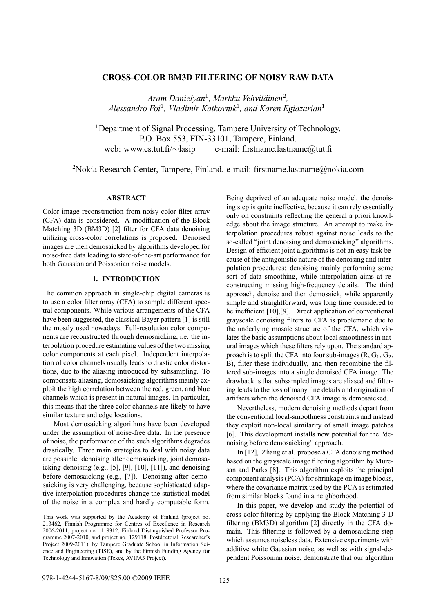# **CROSS-COLOR BM3D FILTERING OF NOISY RAW DATA**

*Aram Danielyan*<sup>1</sup>*, Markku Vehvil‰inen*<sup>2</sup>*, Alessandro Foi*<sup>1</sup>*, Vladimir Katkovnik*<sup>1</sup>*, and Karen Egiazarian*<sup>1</sup>

<sup>1</sup>Department of Signal Processing, Tampere University of Technology, P.O. Box 553, FIN-33101, Tampere, Finland. web: www.cs.tut.fi/∼lasip e-mail: firstname.lastname@tut.fi

<sup>2</sup>Nokia Research Center, Tampere, Finland. e-mail: firstname.lastname@nokia.com

## **ABSTRACT**

Color image reconstruction from noisy color filter array (CFA) data is considered. A modification of the Block Matching 3D (BM3D) [2] filter for CFA data denoising utilizing cross-color correlations is proposed. Denoised images are then demosaicked by algorithms developed for noise-free data leading to state-of-the-art performance for both Gaussian and Poissonian noise models.

### **1. INTRODUCTION**

The common approach in single-chip digital cameras is to use a color filter array (CFA) to sample different spectral components. While various arrangements of the CFA have been suggested, the classical Bayer pattern [1] is still the mostly used nowadays. Full-resolution color components are reconstructed through demosaicking, i.e. the interpolation procedure estimating values of the two missing color components at each pixel. Independent interpolation of color channels usually leads to drastic color distortions, due to the aliasing introduced by subsampling. To compensate aliasing, demosaicking algorithms mainly exploit the high correlation between the red, green, and blue channels which is present in natural images. In particular, this means that the three color channels are likely to have similar texture and edge locations.

Most demosaicking algorithms have been developed under the assumption of noise-free data. In the presence of noise, the performance of the such algorithms degrades drastically. Three main strategies to deal with noisy data are possible: denoising after demosaicking, joint demosaicking-denoising (e.g., [5], [9], [10], [11]), and denoising before demosaicking (e.g., [7]). Denoising after demosaicking is very challenging, because sophisticated adaptive interpolation procedures change the statistical model of the noise in a complex and hardly computable form.

Being deprived of an adequate noise model, the denoising step is quite ineffective, because it can rely essentially only on constraints reflecting the general a priori knowledge about the image structure. An attempt to make interpolation procedures robust against noise leads to the so-called "joint denoising and demosaicking" algorithms. Design of efficient joint algorithms is not an easy task because of the antagonistic nature of the denoising and interpolation procedures: denoising mainly performing some sort of data smoothing, while interpolation aims at reconstructing missing high-frequency details. The third approach, denoise and then demosaick, while apparently simple and straightforward, was long time considered to be inefficient [10],[9]. Direct application of conventional grayscale denoising filters to CFA is problematic due to the underlying mosaic structure of the CFA, which violates the basic assumptions about local smoothness in natural images which these filters rely upon. The standard approach is to split the CFA into four sub-images  $(R, G_1, G_2,$ B), filter these individually, and then recombine the filtered sub-images into a single denoised CFA image. The drawback is that subsampled images are aliased and filtering leads to the loss of many fine details and origination of artifacts when the denoised CFA image is demosaicked.

Nevertheless, modern denoising methods depart from the conventional local-smoothness constraints and instead they exploit non-local similarity of small image patches [6]. This development installs new potential for the "denoising before demosaicking" approach.

In [12], Zhang et al. propose a CFA denoising method based on the grayscale image filtering algorithm by Muresan and Parks [8]. This algorithm exploits the principal component analysis (PCA) for shrinkage on image blocks, where the covariance matrix used by the PCA is estimated from similar blocks found in a neighborhood.

In this paper, we develop and study the potential of cross-color filtering by applying the Block Matching 3-D filtering (BM3D) algorithm [2] directly in the CFA domain. This filtering is followed by a demosaicking step which assumes noiseless data. Extensive experiments with additive white Gaussian noise, as well as with signal-dependent Poissonian noise, demonstrate that our algorithm

This work was supported by the Academy of Finland (project no. 213462, Finnish Programme for Centres of Excellence in Research 2006-2011, project no. 118312, Finland Distinguished Professor Programme 2007-2010, and project no. 129118, Postdoctoral Researcher's Project 2009-2011), by Tampere Graduate School in Information Science and Engineering (TISE), and by the Finnish Funding Agency for Technology and Innovation (Tekes, AVIPA3 Project).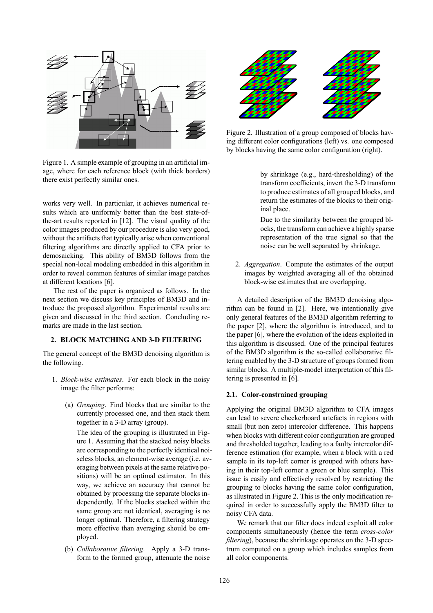

Figure 1. A simple example of grouping in an artificial image, where for each reference block (with thick borders) there exist perfectly similar ones.

works very well. In particular, it achieves numerical results which are uniformly better than the best state-ofthe-art results reported in [12]. The visual quality of the color images produced by our procedure is also very good, without the artifacts that typically arise when conventional filtering algorithms are directly applied to CFA prior to demosaicking. This ability of BM3D follows from the special non-local modeling embedded in this algorithm in order to reveal common features of similar image patches at different locations [6].

The rest of the paper is organized as follows. In the next section we discuss key principles of BM3D and introduce the proposed algorithm. Experimental results are given and discussed in the third section. Concluding remarks are made in the last section.

## **2. BLOCK MATCHING AND 3-D FILTERING**

The general concept of the BM3D denoising algorithm is the following.

- 1. *Block-wise estimates*. For each block in the noisy image the filter performs:
	- (a) *Grouping*. Find blocks that are similar to the currently processed one, and then stack them together in a 3-D array (group).

The idea of the grouping is illustrated in Figure 1. Assuming that the stacked noisy blocks are corresponding to the perfectly identical noiseless blocks, an element-wise average (i.e. averaging between pixels at the same relative positions) will be an optimal estimator. In this way, we achieve an accuracy that cannot be obtained by processing the separate blocks independently. If the blocks stacked within the same group are not identical, averaging is no longer optimal. Therefore, a filtering strategy more effective than averaging should be employed.

(b) *Collaborative filtering*. Apply a 3-D transform to the formed group, attenuate the noise



Figure 2. Illustration of a group composed of blocks having different color configurations (left) vs. one composed by blocks having the same color configuration (right).

by shrinkage (e.g., hard-thresholding) of the transform coefficients, invert the 3-D transform to produce estimates of all grouped blocks, and return the estimates of the blocks to their original place.

Due to the similarity between the grouped blocks, the transform can achieve a highly sparse representation of the true signal so that the noise can be well separated by shrinkage.

2. *Aggregation*. Compute the estimates of the output images by weighted averaging all of the obtained block-wise estimates that are overlapping.

A detailed description of the BM3D denoising algorithm can be found in [2]. Here, we intentionally give only general features of the BM3D algorithm referring to the paper [2], where the algorithm is introduced, and to the paper [6], where the evolution of the ideas exploited in this algorithm is discussed. One of the principal features of the BM3D algorithm is the so-called collaborative filtering enabled by the 3-D structure of groups formed from similar blocks. A multiple-model interpretation of this filtering is presented in [6].

#### **2.1. Color-constrained grouping**

Applying the original BM3D algorithm to CFA images can lead to severe checkerboard artefacts in regions with small (but non zero) intercolor difference. This happens when blocks with different color configuration are grouped and thresholded together, leading to a faulty intercolor difference estimation (for example, when a block with a red sample in its top-left corner is grouped with others having in their top-left corner a green or blue sample). This issue is easily and effectively resolved by restricting the grouping to blocks having the same color configuration, as illustrated in Figure 2. This is the only modification required in order to successfully apply the BM3D filter to noisy CFA data.

We remark that our filter does indeed exploit all color components simultaneously (hence the term *cross-color filtering*), because the shrinkage operates on the 3-D spectrum computed on a group which includes samples from all color components.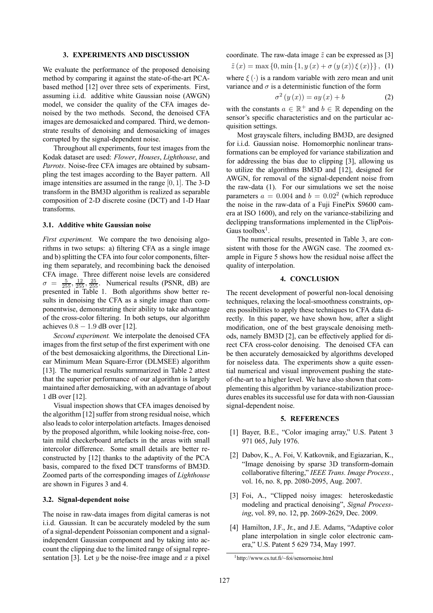#### **3. EXPERIMENTS AND DISCUSSION**

We evaluate the performance of the proposed denoising method by comparing it against the state-of-the-art PCAbased method [12] over three sets of experiments. First, assuming i.i.d. additive white Gaussian noise (AWGN) model, we consider the quality of the CFA images denoised by the two methods. Second, the denoised CFA images are demosaicked and compared. Third, we demonstrate results of denoising and demosaicking of images corrupted by the signal-dependent noise.

Throughout all experiments, four test images from the Kodak dataset are used: *Flower*, *Houses*, *Lighthouse*, and *Parrots*. Noise-free CFA images are obtained by subsampling the test images according to the Bayer pattern. All image intensities are assumed in the range [0, 1]. The 3-D transform in the BM3D algorithm is realized as separable composition of 2-D discrete cosine (DCT) and 1-D Haar transforms.

#### **3.1. Additive white Gaussian noise**

*First experiment.* We compare the two denoising algorithms in two setups: a) filtering CFA as a single image and b) splitting the CFA into four color components, filtering them separately, and recombining back the denoised CFA image. Three different noise levels are considered  $\sigma = \frac{5}{255}, \frac{12}{255}, \frac{25}{255}.$  Numerical results (PSNR, dB) are presented in Table 1. Both algorithms show better results in denoising the CFA as a single image than componentwise, demonstrating their ability to take advantage of the cross-color filtering. In both setups, our algorithm achieves  $0.8 - 1.9$  dB over [12].

*Second experiment.* We interpolate the denoised CFA images from the first setup of the first experiment with one of the best demosaicking algorithms, the Directional Linear Minimum Mean Square-Error (DLMSEE) algorithm [13]. The numerical results summarized in Table 2 attest that the superior performance of our algorithm is largely maintained after demosaicking, with an advantage of about 1 dB over [12].

Visual inspection shows that CFA images denoised by the algorithm [12] suffer from strong residual noise, which also leads to color interpolation artefacts. Images denoised by the proposed algorithm, while looking noise-free, contain mild checkerboard artefacts in the areas with small intercolor difference. Some small details are better reconstructed by [12] thanks to the adaptivity of the PCA basis, compared to the fixed DCT transforms of BM3D. Zoomed parts of the corresponding images of *Lighthouse* are shown in Figures 3 and 4.

#### **3.2. Signal-dependent noise**

The noise in raw-data images from digital cameras is not i.i.d. Gaussian. It can be accurately modeled by the sum of a signal-dependent Poissonian component and a signalindependent Gaussian component and by taking into account the clipping due to the limited range of signal representation [3]. Let y be the noise-free image and x a pixel coordinate. The raw-data image  $\tilde{z}$  can be expressed as [3]

 $\tilde{z}(x) = \max\{0, \min\{1, y(x) + \sigma(y(x))\xi(x)\}\}\,$ , (1)

where  $\xi(\cdot)$  is a random variable with zero mean and unit variance and  $\sigma$  is a deterministic function of the form

$$
\sigma^{2}\left(y\left(x\right)\right) = ay\left(x\right) + b\tag{2}
$$

with the constants  $a \in \mathbb{R}^+$  and  $b \in \mathbb{R}$  depending on the sensor's specific characteristics and on the particular acquisition settings.

Most grayscale filters, including BM3D, are designed for i.i.d. Gaussian noise. Homomorphic nonlinear transformations can be employed for variance stabilization and for addressing the bias due to clipping [3], allowing us to utilize the algorithms BM3D and [12], designed for AWGN, for removal of the signal-dependent noise from the raw-data (1). For our simulations we set the noise parameters  $a = 0.004$  and  $b = 0.02<sup>2</sup>$  (which reproduce the noise in the raw-data of a Fuji FinePix S9600 camera at ISO 1600), and rely on the variance-stabilizing and declipping transformations implemented in the ClipPois-Gaus toolbox<sup>1</sup>.

The numerical results, presented in Table 3, are consistent with those for the AWGN case. The zoomed example in Figure 5 shows how the residual noise affect the quality of interpolation.

### **4. CONCLUSION**

The recent development of powerful non-local denoising techniques, relaxing the local-smoothness constraints, opens possibilities to apply these techniques to CFA data directly. In this paper, we have shown how, after a slight modification, one of the best grayscale denoising methods, namely BM3D [2], can be effectively applied for direct CFA cross-color denoising. The denoised CFA can be then accurately demosaicked by algorithms developed for noiseless data. The experiments show a quite essential numerical and visual improvement pushing the stateof-the-art to a higher level. We have also shown that complementing this algorithm by variance-stabilization procedures enables its successful use for data with non-Gaussian signal-dependent noise.

#### **5. REFERENCES**

- [1] Bayer, B.E., "Color imaging array," U.S. Patent 3 971 065, July 1976.
- [2] Dabov, K., A. Foi, V. Katkovnik, and Egiazarian, K., "Image denoising by sparse 3D transform-domain collaborative filtering," *IEEE Trans. Image Process.*, vol. 16, no. 8, pp. 2080-2095, Aug. 2007.
- [3] Foi, A., "Clipped noisy images: heteroskedastic modeling and practical denoising", *Signal Processing*, vol. 89, no. 12, pp. 2609-2629, Dec. 2009.
- [4] Hamilton, J.F., Jr., and J.E. Adams, "Adaptive color plane interpolation in single color electronic camera," U.S. Patent 5 629 734, May 1997.

<sup>1</sup>http://www.cs.tut.fi/~foi/sensornoise.html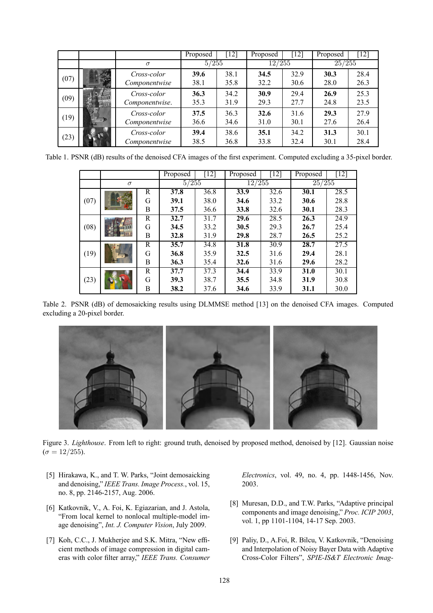|      |   |                               | Proposed     | $\lceil 12 \rceil$ | Proposed     | [12]         | Proposed     | $[12]$       |
|------|---|-------------------------------|--------------|--------------------|--------------|--------------|--------------|--------------|
|      |   | $\sigma$                      | 5/255        |                    | 12/255       |              | 25/255       |              |
| (07) |   | Cross-color<br>Componentwise  | 39.6<br>38.1 | 38.1<br>35.8       | 34.5<br>32.2 | 32.9<br>30.6 | 30.3<br>28.0 | 28.4<br>26.3 |
| (09) |   | Cross-color<br>Componentwise. | 36.3<br>35.3 | 34.2<br>31.9       | 30.9<br>29.3 | 29.4<br>27.7 | 26.9<br>24.8 | 25.3<br>23.5 |
| (19) | 諞 | Cross-color<br>Componentwise  | 37.5<br>36.6 | 36.3<br>34.6       | 32.6<br>31.0 | 31.6<br>30.1 | 29.3<br>27.6 | 27.9<br>26.4 |
| (23) |   | Cross-color<br>Componentwise  | 39.4<br>38.5 | 38.6<br>36.8       | 35.1<br>33.8 | 34.2<br>32.4 | 31.3<br>30.1 | 30.1<br>28.4 |

Table 1. PSNR (dB) results of the denoised CFA images of the first experiment. Computed excluding a 35-pixel border.

|      |          |   | Proposed | $[12]$ | Proposed | [12] | Proposed | $[12]$ |
|------|----------|---|----------|--------|----------|------|----------|--------|
|      | $\sigma$ |   | 5/255    |        | 12/255   |      | 25/255   |        |
| (07) |          | R | 37.8     | 36.8   | 33.9     | 32.6 | 30.1     | 28.5   |
|      |          | G | 39.1     | 38.0   | 34.6     | 33.2 | 30.6     | 28.8   |
|      |          | B | 37.5     | 36.6   | 33.8     | 32.6 | 30.1     | 28.3   |
| (08) |          | R | 32.7     | 31.7   | 29.6     | 28.5 | 26.3     | 24.9   |
|      |          | G | 34.5     | 33.2   | 30.5     | 29.3 | 26.7     | 25.4   |
|      |          | B | 32.8     | 31.9   | 29.8     | 28.7 | 26.5     | 25.2   |
| (19) |          | R | 35.7     | 34.8   | 31.8     | 30.9 | 28.7     | 27.5   |
|      |          | G | 36.8     | 35.9   | 32.5     | 31.6 | 29.4     | 28.1   |
|      |          | B | 36.3     | 35.4   | 32.6     | 31.6 | 29.6     | 28.2   |
| (23) |          | R | 37.7     | 37.3   | 34.4     | 33.9 | 31.0     | 30.1   |
|      |          | G | 39.3     | 38.7   | 35.5     | 34.8 | 31.9     | 30.8   |
|      |          | B | 38.2     | 37.6   | 34.6     | 33.9 | 31.1     | 30.0   |

Table 2. PSNR (dB) of demosaicking results using DLMMSE method [13] on the denoised CFA images. Computed excluding a 20-pixel border.



Figure 3. *Lighthouse*. From left to right: ground truth, denoised by proposed method, denoised by [12]. Gaussian noise  $(\sigma = 12/255).$ 

- [5] Hirakawa, K., and T. W. Parks, "Joint demosaicking and denoising," *IEEE Trans. Image Process.*, vol. 15, no. 8, pp. 2146-2157, Aug. 2006.
- [6] Katkovnik, V., A. Foi, K. Egiazarian, and J. Astola, ìFrom local kernel to nonlocal multiple-model image denoising", *Int. J. Computer Vision*, July 2009.
- [7] Koh, C.C., J. Mukherjee and S.K. Mitra, "New efficient methods of image compression in digital cameras with color filter array," IEEE Trans. Consumer

*Electronics*, vol. 49, no. 4, pp. 1448-1456, Nov. 2003.

- [8] Muresan, D.D., and T.W. Parks, "Adaptive principal components and image denoising," *Proc. ICIP 2003*, vol. 1, pp 1101-1104, 14-17 Sep. 2003.
- [9] Paliy, D., A.Foi, R. Bilcu, V. Katkovnik, "Denoising and Interpolation of Noisy Bayer Data with Adaptive Cross-Color Filtersî, *SPIE-IS&T Electronic Imag-*